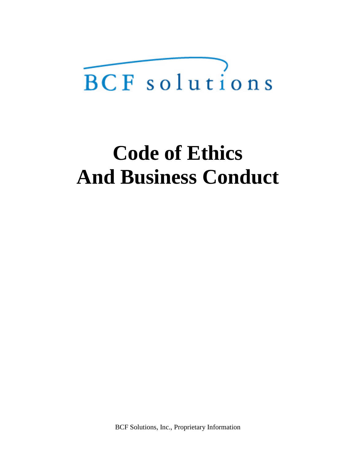# **Code of Ethics And Business Conduct**

BCF Solutions, Inc., Proprietary Information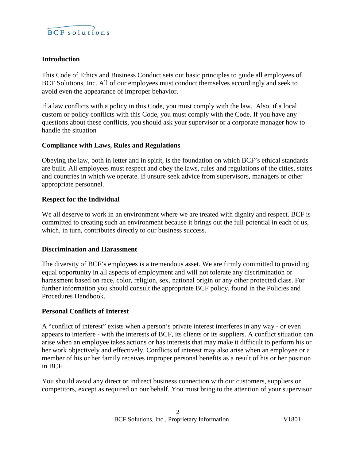

#### **Introduction**

This Code of Ethics and Business Conduct sets out basic principles to guide all employees of BCF Solutions, Inc. All of our employees must conduct themselves accordingly and seek to avoid even the appearance of improper behavior.

If a law conflicts with a policy in this Code, you must comply with the law. Also, if a local custom or policy conflicts with this Code, you must comply with the Code. If you have any questions about these conflicts, you should ask your supervisor or a corporate manager how to handle the situation

#### **Compliance with Laws, Rules and Regulations**

Obeying the law, both in letter and in spirit, is the foundation on which BCF's ethical standards are built. All employees must respect and obey the laws, rules and regulations of the cities, states and countries in which we operate. If unsure seek advice from supervisors, managers or other appropriate personnel.

#### **Respect for the Individual**

We all deserve to work in an environment where we are treated with dignity and respect. BCF is committed to creating such an environment because it brings out the full potential in each of us, which, in turn, contributes directly to our business success.

#### **Discrimination and Harassment**

The diversity of BCF's employees is a tremendous asset. We are firmly committed to providing equal opportunity in all aspects of employment and will not tolerate any discrimination or harassment based on race, color, religion, sex, national origin or any other protected class. For further information you should consult the appropriate BCF policy, found in the Policies and Procedures Handbook.

#### **Personal Conflicts of Interest**

A "conflict of interest" exists when a person's private interest interferes in any way - or even appears to interfere - with the interests of BCF, its clients or its suppliers. A conflict situation can arise when an employee takes actions or has interests that may make it difficult to perform his or her work objectively and effectively. Conflicts of interest may also arise when an employee or a member of his or her family receives improper personal benefits as a result of his or her position in BCF.

You should avoid any direct or indirect business connection with our customers, suppliers or competitors, except as required on our behalf. You must bring to the attention of your supervisor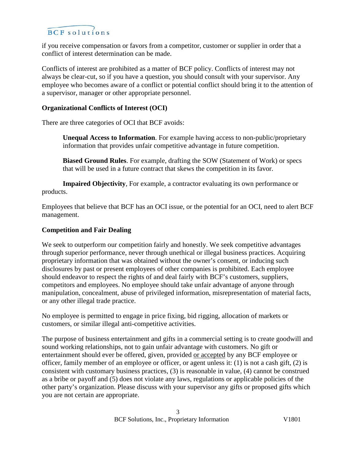if you receive compensation or favors from a competitor, customer or supplier in order that a conflict of interest determination can be made.

Conflicts of interest are prohibited as a matter of BCF policy. Conflicts of interest may not always be clear-cut, so if you have a question, you should consult with your supervisor. Any employee who becomes aware of a conflict or potential conflict should bring it to the attention of a supervisor, manager or other appropriate personnel.

#### **Organizational Conflicts of Interest (OCI)**

There are three categories of OCI that BCF avoids:

**Unequal Access to Information**. For example having access to non-public/proprietary information that provides unfair competitive advantage in future competition.

**Biased Ground Rules**. For example, drafting the SOW (Statement of Work) or specs that will be used in a future contract that skews the competition in its favor.

**Impaired Objectivity**, For example, a contractor evaluating its own performance or products.

Employees that believe that BCF has an OCI issue, or the potential for an OCI, need to alert BCF management.

#### **Competition and Fair Dealing**

We seek to outperform our competition fairly and honestly. We seek competitive advantages through superior performance, never through unethical or illegal business practices. Acquiring proprietary information that was obtained without the owner's consent, or inducing such disclosures by past or present employees of other companies is prohibited. Each employee should endeavor to respect the rights of and deal fairly with BCF's customers, suppliers, competitors and employees. No employee should take unfair advantage of anyone through manipulation, concealment, abuse of privileged information, misrepresentation of material facts, or any other illegal trade practice.

No employee is permitted to engage in price fixing, bid rigging, allocation of markets or customers, or similar illegal anti-competitive activities.

The purpose of business entertainment and gifts in a commercial setting is to create goodwill and sound working relationships, not to gain unfair advantage with customers. No gift or entertainment should ever be offered, given, provided or accepted by any BCF employee or officer, family member of an employee or officer, or agent unless it: (1) is not a cash gift, (2) is consistent with customary business practices, (3) is reasonable in value, (4) cannot be construed as a bribe or payoff and (5) does not violate any laws, regulations or applicable policies of the other party's organization. Please discuss with your supervisor any gifts or proposed gifts which you are not certain are appropriate.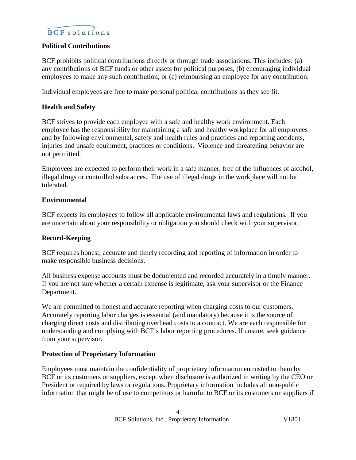## $\widehat{BCF}$  solutions

#### **Political Contributions**

BCF prohibits political contributions directly or through trade associations. This includes: (a) any contributions of BCF funds or other assets for political purposes, (b) encouraging individual employees to make any such contribution; or (c) reimbursing an employee for any contribution.

Individual employees are free to make personal political contributions as they see fit.

#### **Health and Safety**

BCF strives to provide each employee with a safe and healthy work environment. Each employee has the responsibility for maintaining a safe and healthy workplace for all employees and by following environmental, safety and health rules and practices and reporting accidents, injuries and unsafe equipment, practices or conditions. Violence and threatening behavior are not permitted.

Employees are expected to perform their work in a safe manner, free of the influences of alcohol, illegal drugs or controlled substances. The use of illegal drugs in the workplace will not be tolerated.

#### **Environmental**

BCF expects its employees to follow all applicable environmental laws and regulations. If you are uncertain about your responsibility or obligation you should check with your supervisor.

#### **Record-Keeping**

BCF requires honest, accurate and timely recording and reporting of information in order to make responsible business decisions.

All business expense accounts must be documented and recorded accurately in a timely manner. If you are not sure whether a certain expense is legitimate, ask your supervisor or the Finance Department.

We are committed to honest and accurate reporting when charging costs to our customers. Accurately reporting labor charges is essential (and mandatory) because it is the source of charging direct costs and distributing overhead costs to a contract. We are each responsible for understanding and complying with BCF's labor reporting procedures. If unsure, seek guidance from your supervisor.

#### **Protection of Proprietary Information**

Employees must maintain the confidentiality of proprietary information entrusted to them by BCF or its customers or suppliers, except when disclosure is authorized in writing by the CEO or President or required by laws or regulations. Proprietary information includes all non-public information that might be of use to competitors or harmful to BCF or its customers or suppliers if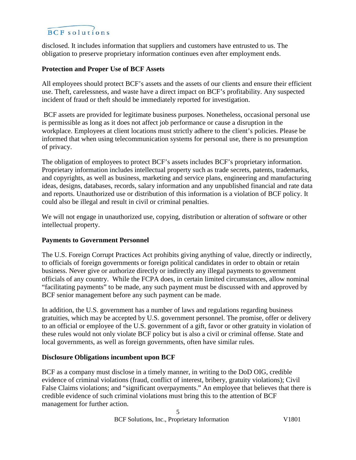disclosed. It includes information that suppliers and customers have entrusted to us. The obligation to preserve proprietary information continues even after employment ends.

#### **Protection and Proper Use of BCF Assets**

All employees should protect BCF's assets and the assets of our clients and ensure their efficient use. Theft, carelessness, and waste have a direct impact on BCF's profitability. Any suspected incident of fraud or theft should be immediately reported for investigation.

BCF assets are provided for legitimate business purposes. Nonetheless, occasional personal use is permissible as long as it does not affect job performance or cause a disruption in the workplace. Employees at client locations must strictly adhere to the client's policies. Please be informed that when using telecommunication systems for personal use, there is no presumption of privacy.

The obligation of employees to protect BCF's assets includes BCF's proprietary information. Proprietary information includes intellectual property such as trade secrets, patents, trademarks, and copyrights, as well as business, marketing and service plans, engineering and manufacturing ideas, designs, databases, records, salary information and any unpublished financial and rate data and reports. Unauthorized use or distribution of this information is a violation of BCF policy. It could also be illegal and result in civil or criminal penalties.

We will not engage in unauthorized use, copying, distribution or alteration of software or other intellectual property.

#### **Payments to Government Personnel**

The U.S. Foreign Corrupt Practices Act prohibits giving anything of value, directly or indirectly, to officials of foreign governments or foreign political candidates in order to obtain or retain business. Never give or authorize directly or indirectly any illegal payments to government officials of any country. While the FCPA does, in certain limited circumstances, allow nominal "facilitating payments" to be made, any such payment must be discussed with and approved by BCF senior management before any such payment can be made.

In addition, the U.S. government has a number of laws and regulations regarding business gratuities, which may be accepted by U.S. government personnel. The promise, offer or delivery to an official or employee of the U.S. government of a gift, favor or other gratuity in violation of these rules would not only violate BCF policy but is also a civil or criminal offense. State and local governments, as well as foreign governments, often have similar rules.

#### **Disclosure Obligations incumbent upon BCF**

BCF as a company must disclose in a timely manner, in writing to the DoD OIG, credible evidence of criminal violations (fraud, conflict of interest, bribery, gratuity violations); Civil False Claims violations; and "significant overpayments." An employee that believes that there is credible evidence of such criminal violations must bring this to the attention of BCF management for further action.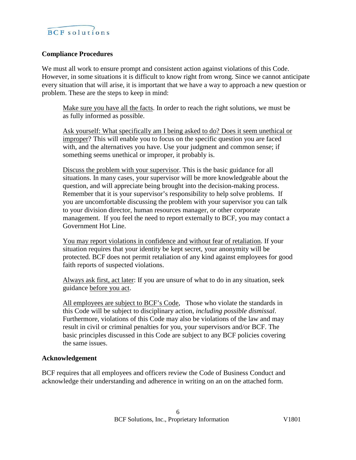#### **Compliance Procedures**

We must all work to ensure prompt and consistent action against violations of this Code. However, in some situations it is difficult to know right from wrong. Since we cannot anticipate every situation that will arise, it is important that we have a way to approach a new question or problem. These are the steps to keep in mind:

Make sure you have all the facts. In order to reach the right solutions, we must be as fully informed as possible.

Ask yourself: What specifically am I being asked to do? Does it seem unethical or improper? This will enable you to focus on the specific question you are faced with, and the alternatives you have. Use your judgment and common sense; if something seems unethical or improper, it probably is.

Discuss the problem with your supervisor. This is the basic guidance for all situations. In many cases, your supervisor will be more knowledgeable about the question, and will appreciate being brought into the decision-making process. Remember that it is your supervisor's responsibility to help solve problems. If you are uncomfortable discussing the problem with your supervisor you can talk to your division director, human resources manager, or other corporate management. If you feel the need to report externally to BCF, you may contact a Government Hot Line.

You may report violations in confidence and without fear of retaliation. If your situation requires that your identity be kept secret, your anonymity will be protected. BCF does not permit retaliation of any kind against employees for good faith reports of suspected violations.

Always ask first, act later: If you are unsure of what to do in any situation, seek guidance before you act.

All employees are subject to BCF's Code, Those who violate the standards in this Code will be subject to disciplinary action, *including possible dismissal*. Furthermore, violations of this Code may also be violations of the law and may result in civil or criminal penalties for you, your supervisors and/or BCF. The basic principles discussed in this Code are subject to any BCF policies covering the same issues.

#### **Acknowledgement**

BCF requires that all employees and officers review the Code of Business Conduct and acknowledge their understanding and adherence in writing on an on the attached form.